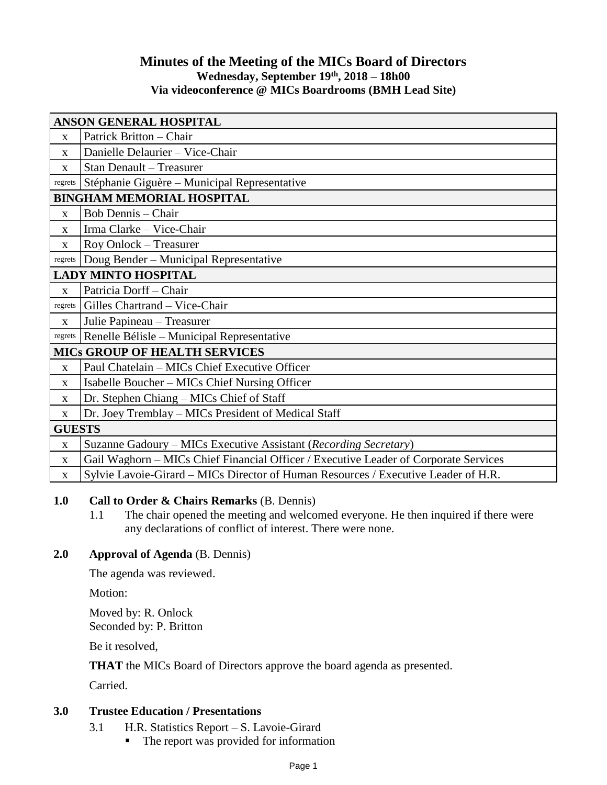# **Minutes of the Meeting of the MICs Board of Directors Wednesday, September 19th , 2018 – 18h00 Via videoconference @ MICs Boardrooms (BMH Lead Site)**

| <b>ANSON GENERAL HOSPITAL</b>        |                                                                                      |
|--------------------------------------|--------------------------------------------------------------------------------------|
| $\mathbf X$                          | Patrick Britton - Chair                                                              |
| $\mathbf{X}$                         | Danielle Delaurier - Vice-Chair                                                      |
| $\mathbf X$                          | <b>Stan Denault - Treasurer</b>                                                      |
| regrets                              | Stéphanie Giguère – Municipal Representative                                         |
| <b>BINGHAM MEMORIAL HOSPITAL</b>     |                                                                                      |
| $\mathbf{X}$                         | Bob Dennis – Chair                                                                   |
| $\mathbf X$                          | Irma Clarke - Vice-Chair                                                             |
| $\mathbf X$                          | Roy Onlock - Treasurer                                                               |
| regrets                              | Doug Bender - Municipal Representative                                               |
| <b>LADY MINTO HOSPITAL</b>           |                                                                                      |
| $\mathbf{x}$                         | Patricia Dorff-Chair                                                                 |
| regrets                              | Gilles Chartrand - Vice-Chair                                                        |
| X                                    | Julie Papineau - Treasurer                                                           |
| regrets                              | Renelle Bélisle – Municipal Representative                                           |
| <b>MICS GROUP OF HEALTH SERVICES</b> |                                                                                      |
| $\mathbf{X}$                         | Paul Chatelain – MICs Chief Executive Officer                                        |
| $\mathbf X$                          | Isabelle Boucher – MICs Chief Nursing Officer                                        |
| $\mathbf X$                          | Dr. Stephen Chiang - MICs Chief of Staff                                             |
| X                                    | Dr. Joey Tremblay - MICs President of Medical Staff                                  |
| <b>GUESTS</b>                        |                                                                                      |
| $\mathbf X$                          | Suzanne Gadoury - MICs Executive Assistant (Recording Secretary)                     |
| $\mathbf X$                          | Gail Waghorn - MICs Chief Financial Officer / Executive Leader of Corporate Services |
| $\mathbf X$                          | Sylvie Lavoie-Girard - MICs Director of Human Resources / Executive Leader of H.R.   |

# **1.0 Call to Order & Chairs Remarks** (B. Dennis)

1.1 The chair opened the meeting and welcomed everyone. He then inquired if there were any declarations of conflict of interest. There were none.

# **2.0 Approval of Agenda** (B. Dennis)

The agenda was reviewed.

Motion:

Moved by: R. Onlock Seconded by: P. Britton

Be it resolved,

**THAT** the MICs Board of Directors approve the board agenda as presented.

Carried.

# **3.0 Trustee Education / Presentations**

- 3.1 H.R. Statistics Report S. Lavoie-Girard
	- The report was provided for information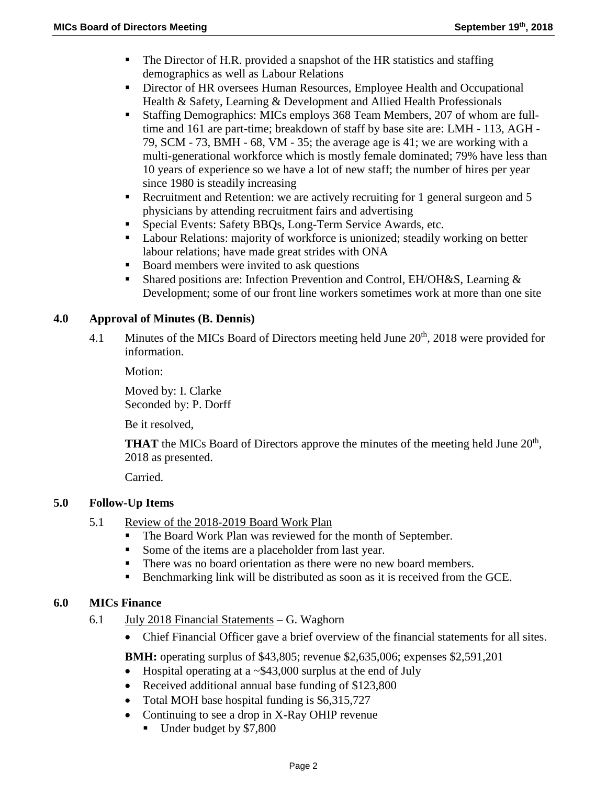- The Director of H.R. provided a snapshot of the HR statistics and staffing demographics as well as Labour Relations
- Director of HR oversees Human Resources, Employee Health and Occupational Health & Safety, Learning & Development and Allied Health Professionals
- Staffing Demographics: MICs employs 368 Team Members, 207 of whom are fulltime and 161 are part-time; breakdown of staff by base site are: LMH - 113, AGH - 79, SCM - 73, BMH - 68, VM - 35; the average age is 41; we are working with a multi-generational workforce which is mostly female dominated; 79% have less than 10 years of experience so we have a lot of new staff; the number of hires per year since 1980 is steadily increasing
- Recruitment and Retention: we are actively recruiting for 1 general surgeon and 5 physicians by attending recruitment fairs and advertising
- Special Events: Safety BBQs, Long-Term Service Awards, etc.
- Labour Relations: majority of workforce is unionized; steadily working on better labour relations; have made great strides with ONA
- Board members were invited to ask questions
- Shared positions are: Infection Prevention and Control, EH/OH&S, Learning & Development; some of our front line workers sometimes work at more than one site

# **4.0 Approval of Minutes (B. Dennis)**

4.1 Minutes of the MICs Board of Directors meeting held June 20<sup>th</sup>, 2018 were provided for information.

Motion:

Moved by: I. Clarke Seconded by: P. Dorff

Be it resolved,

**THAT** the MICs Board of Directors approve the minutes of the meeting held June 20<sup>th</sup>, 2018 as presented.

Carried.

# **5.0 Follow-Up Items**

- 5.1 Review of the 2018-2019 Board Work Plan
	- The Board Work Plan was reviewed for the month of September.
	- Some of the items are a placeholder from last year.
	- There was no board orientation as there were no new board members.
	- Benchmarking link will be distributed as soon as it is received from the GCE.

# **6.0 MICs Finance**

- 6.1  $\frac{\text{July } 2018 \text{ Financial Statements}}{\text{Statements}} \text{G}$ . Waghorn
	- Chief Financial Officer gave a brief overview of the financial statements for all sites.

**BMH:** operating surplus of \$43,805; revenue \$2,635,006; expenses \$2,591,201

- $\bullet$  Hospital operating at a  $\sim$  \$43,000 surplus at the end of July
- Received additional annual base funding of \$123,800
- Total MOH base hospital funding is \$6,315,727
- Continuing to see a drop in X-Ray OHIP revenue
	- Under budget by \$7,800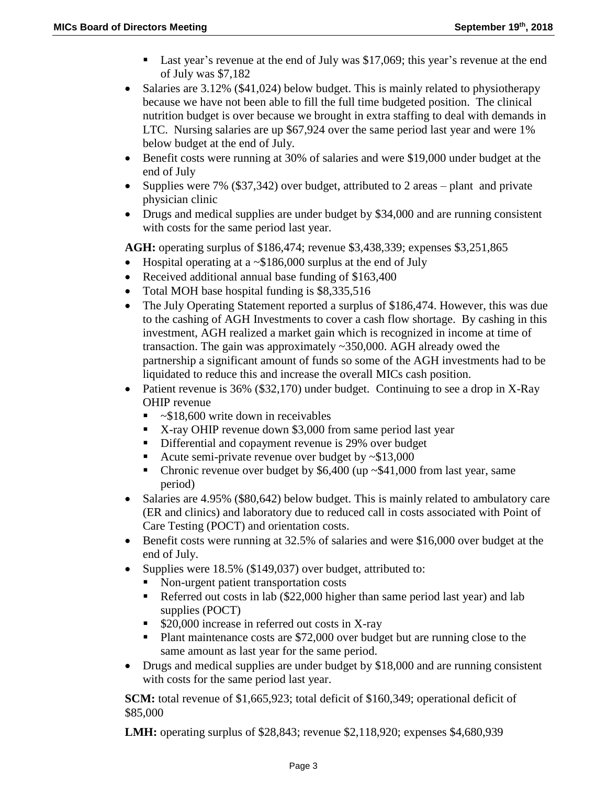- Last year's revenue at the end of July was \$17,069; this year's revenue at the end of July was \$7,182
- Salaries are  $3.12\%$  (\$41,024) below budget. This is mainly related to physiotherapy because we have not been able to fill the full time budgeted position. The clinical nutrition budget is over because we brought in extra staffing to deal with demands in LTC. Nursing salaries are up \$67,924 over the same period last year and were 1% below budget at the end of July.
- Benefit costs were running at 30% of salaries and were \$19,000 under budget at the end of July
- Supplies were 7%  $(\$37,342)$  over budget, attributed to 2 areas plant and private physician clinic
- Drugs and medical supplies are under budget by \$34,000 and are running consistent with costs for the same period last year.

**AGH:** operating surplus of \$186,474; revenue \$3,438,339; expenses \$3,251,865

- Hospital operating at a  $\sim$ \$186,000 surplus at the end of July
- Received additional annual base funding of \$163,400
- Total MOH base hospital funding is \$8,335,516
- The July Operating Statement reported a surplus of \$186,474. However, this was due to the cashing of AGH Investments to cover a cash flow shortage. By cashing in this investment, AGH realized a market gain which is recognized in income at time of transaction. The gain was approximately ~350,000. AGH already owed the partnership a significant amount of funds so some of the AGH investments had to be liquidated to reduce this and increase the overall MICs cash position.
- Patient revenue is  $36\%$  (\$32,170) under budget. Continuing to see a drop in X-Ray OHIP revenue
	- $\sim$ \$18,600 write down in receivables
	- X-ray OHIP revenue down \$3,000 from same period last year
	- Differential and copayment revenue is 29% over budget
	- Acute semi-private revenue over budget by  $\sim $13,000$
	- Chronic revenue over budget by  $$6,400$  (up  $~$41,000$  from last year, same period)
- Salaries are 4.95% (\$80,642) below budget. This is mainly related to ambulatory care (ER and clinics) and laboratory due to reduced call in costs associated with Point of Care Testing (POCT) and orientation costs.
- Benefit costs were running at 32.5% of salaries and were \$16,000 over budget at the end of July.
- Supplies were 18.5% (\$149,037) over budget, attributed to:
	- Non-urgent patient transportation costs
	- Referred out costs in lab (\$22,000 higher than same period last year) and lab supplies (POCT)
	- \$20,000 increase in referred out costs in X-ray
	- Plant maintenance costs are \$72,000 over budget but are running close to the same amount as last year for the same period.
- Drugs and medical supplies are under budget by \$18,000 and are running consistent with costs for the same period last year.

**SCM:** total revenue of \$1,665,923; total deficit of \$160,349; operational deficit of \$85,000

**LMH:** operating surplus of \$28,843; revenue \$2,118,920; expenses \$4,680,939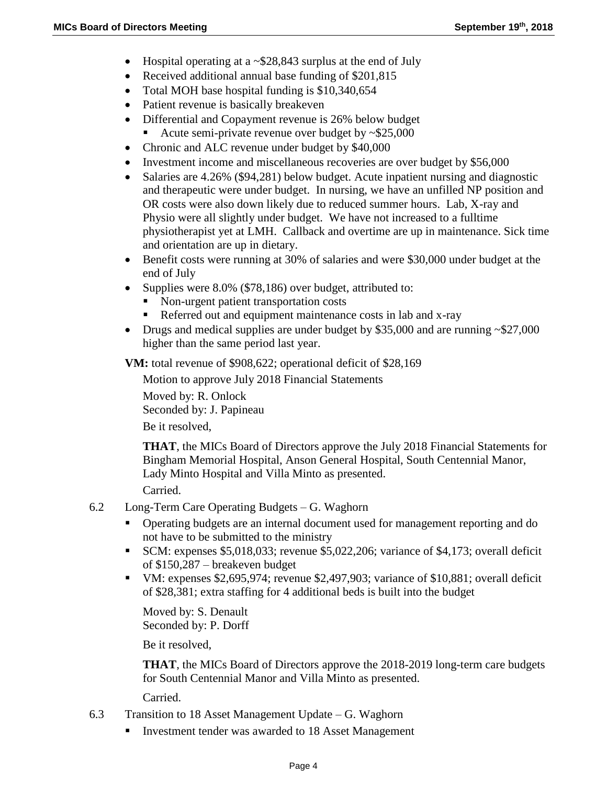- $\bullet$  Hospital operating at a  $\sim$  \$28,843 surplus at the end of July
- Received additional annual base funding of \$201,815
- Total MOH base hospital funding is \$10,340,654
- Patient revenue is basically breakeven
- Differential and Copayment revenue is 26% below budget
	- Acute semi-private revenue over budget by  $\approx 25,000$
- Chronic and ALC revenue under budget by \$40,000
- Investment income and miscellaneous recoveries are over budget by \$56,000
- Salaries are 4.26% (\$94,281) below budget. Acute inpatient nursing and diagnostic and therapeutic were under budget. In nursing, we have an unfilled NP position and OR costs were also down likely due to reduced summer hours. Lab, X-ray and Physio were all slightly under budget. We have not increased to a fulltime physiotherapist yet at LMH. Callback and overtime are up in maintenance. Sick time and orientation are up in dietary.
- Benefit costs were running at 30% of salaries and were \$30,000 under budget at the end of July
- Supplies were 8.0% (\$78,186) over budget, attributed to:
	- Non-urgent patient transportation costs
	- Referred out and equipment maintenance costs in lab and x-ray
- Drugs and medical supplies are under budget by \$35,000 and are running  $\sim$  \$27,000 higher than the same period last year.

**VM:** total revenue of \$908,622; operational deficit of \$28,169

Motion to approve July 2018 Financial Statements

Moved by: R. Onlock Seconded by: J. Papineau Be it resolved,

**THAT**, the MICs Board of Directors approve the July 2018 Financial Statements for Bingham Memorial Hospital, Anson General Hospital, South Centennial Manor, Lady Minto Hospital and Villa Minto as presented.

Carried.

- 6.2 Long-Term Care Operating Budgets G. Waghorn
	- Operating budgets are an internal document used for management reporting and do not have to be submitted to the ministry
	- SCM: expenses \$5,018,033; revenue \$5,022,206; variance of \$4,173; overall deficit of \$150,287 – breakeven budget
	- VM: expenses \$2,695,974; revenue \$2,497,903; variance of \$10,881; overall deficit of \$28,381; extra staffing for 4 additional beds is built into the budget

Moved by: S. Denault Seconded by: P. Dorff

Be it resolved,

**THAT**, the MICs Board of Directors approve the 2018-2019 long-term care budgets for South Centennial Manor and Villa Minto as presented.

Carried.

- 6.3 Transition to 18 Asset Management Update G. Waghorn
	- Investment tender was awarded to 18 Asset Management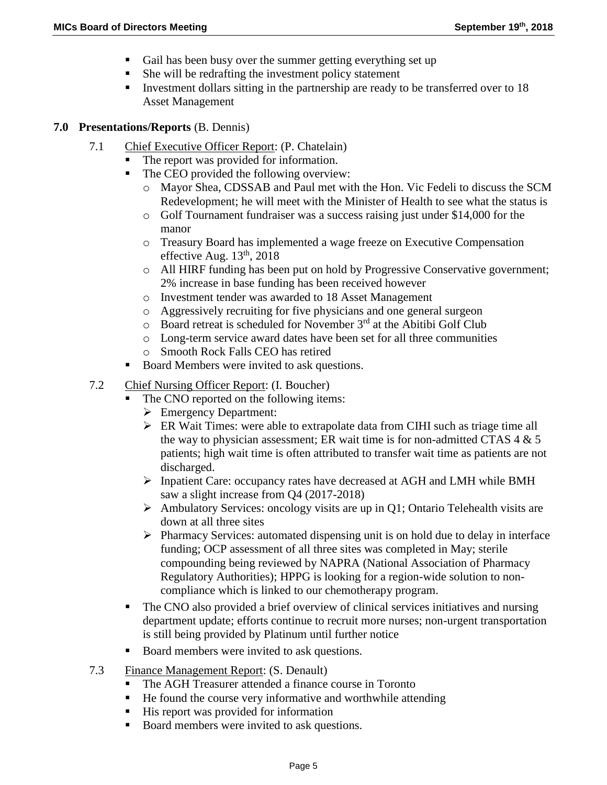- Gail has been busy over the summer getting everything set up
- She will be redrafting the investment policy statement
- Investment dollars sitting in the partnership are ready to be transferred over to 18 Asset Management

#### **7.0 Presentations/Reports** (B. Dennis)

- 7.1 Chief Executive Officer Report: (P. Chatelain)
	- The report was provided for information.
	- The CEO provided the following overview:
		- o Mayor Shea, CDSSAB and Paul met with the Hon. Vic Fedeli to discuss the SCM Redevelopment; he will meet with the Minister of Health to see what the status is
		- o Golf Tournament fundraiser was a success raising just under \$14,000 for the manor
		- o Treasury Board has implemented a wage freeze on Executive Compensation effective Aug.  $13<sup>th</sup>$ , 2018
		- o All HIRF funding has been put on hold by Progressive Conservative government; 2% increase in base funding has been received however
		- o Investment tender was awarded to 18 Asset Management
		- o Aggressively recruiting for five physicians and one general surgeon
		- $\circ$  Board retreat is scheduled for November 3<sup>rd</sup> at the Abitibi Golf Club
		- o Long-term service award dates have been set for all three communities
		- o Smooth Rock Falls CEO has retired
	- Board Members were invited to ask questions.
- 7.2 Chief Nursing Officer Report: (I. Boucher)
	- The CNO reported on the following items:
		- **Emergency Department:**
		- ER Wait Times: were able to extrapolate data from CIHI such as triage time all the way to physician assessment; ER wait time is for non-admitted CTAS  $4 \& 5$ patients; high wait time is often attributed to transfer wait time as patients are not discharged.
		- Inpatient Care: occupancy rates have decreased at AGH and LMH while BMH saw a slight increase from Q4 (2017-2018)
		- $\triangleright$  Ambulatory Services: oncology visits are up in Q1; Ontario Telehealth visits are down at all three sites
		- $\triangleright$  Pharmacy Services: automated dispensing unit is on hold due to delay in interface funding; OCP assessment of all three sites was completed in May; sterile compounding being reviewed by NAPRA (National Association of Pharmacy Regulatory Authorities); HPPG is looking for a region-wide solution to noncompliance which is linked to our chemotherapy program.
	- The CNO also provided a brief overview of clinical services initiatives and nursing department update; efforts continue to recruit more nurses; non-urgent transportation is still being provided by Platinum until further notice
	- Board members were invited to ask questions.
- 7.3 Finance Management Report: (S. Denault)
	- The AGH Treasurer attended a finance course in Toronto
	- He found the course very informative and worthwhile attending
	- His report was provided for information
	- Board members were invited to ask questions.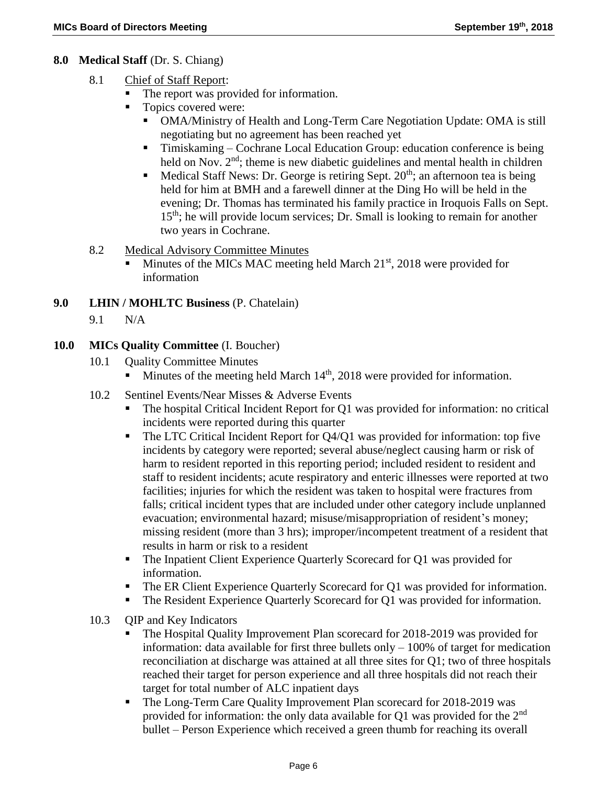### **8.0 Medical Staff** (Dr. S. Chiang)

- 8.1 Chief of Staff Report:
	- The report was provided for information.
	- Topics covered were:
		- OMA/Ministry of Health and Long-Term Care Negotiation Update: OMA is still negotiating but no agreement has been reached yet
		- Timiskaming Cochrane Local Education Group: education conference is being held on Nov. 2<sup>nd</sup>; theme is new diabetic guidelines and mental health in children
		- Medical Staff News: Dr. George is retiring Sept.  $20<sup>th</sup>$ ; an afternoon tea is being held for him at BMH and a farewell dinner at the Ding Ho will be held in the evening; Dr. Thomas has terminated his family practice in Iroquois Falls on Sept. 15<sup>th</sup>; he will provide locum services; Dr. Small is looking to remain for another two years in Cochrane.
- 8.2 Medical Advisory Committee Minutes
	- Minutes of the MICs MAC meeting held March  $21<sup>st</sup>$ , 2018 were provided for information
- **9.0 LHIN / MOHLTC Business** (P. Chatelain)
	- 9.1 N/A

### **10.0 MICs Quality Committee** (I. Boucher)

- 10.1 **Quality Committee Minutes** 
	- Minutes of the meeting held March  $14<sup>th</sup>$ , 2018 were provided for information.
- 10.2 Sentinel Events/Near Misses & Adverse Events
	- The hospital Critical Incident Report for Q1 was provided for information: no critical incidents were reported during this quarter
	- The LTC Critical Incident Report for Q4/Q1 was provided for information: top five incidents by category were reported; several abuse/neglect causing harm or risk of harm to resident reported in this reporting period; included resident to resident and staff to resident incidents; acute respiratory and enteric illnesses were reported at two facilities; injuries for which the resident was taken to hospital were fractures from falls; critical incident types that are included under other category include unplanned evacuation; environmental hazard; misuse/misappropriation of resident's money; missing resident (more than 3 hrs); improper/incompetent treatment of a resident that results in harm or risk to a resident
	- The Inpatient Client Experience Quarterly Scorecard for Q1 was provided for information.
	- The ER Client Experience Quarterly Scorecard for Q1 was provided for information.
	- The Resident Experience Quarterly Scorecard for Q1 was provided for information.
- 10.3 OIP and Key Indicators
	- The Hospital Quality Improvement Plan scorecard for 2018-2019 was provided for information: data available for first three bullets only  $-100\%$  of target for medication reconciliation at discharge was attained at all three sites for Q1; two of three hospitals reached their target for person experience and all three hospitals did not reach their target for total number of ALC inpatient days
	- The Long-Term Care Quality Improvement Plan scorecard for 2018-2019 was provided for information: the only data available for Q1 was provided for the 2nd bullet – Person Experience which received a green thumb for reaching its overall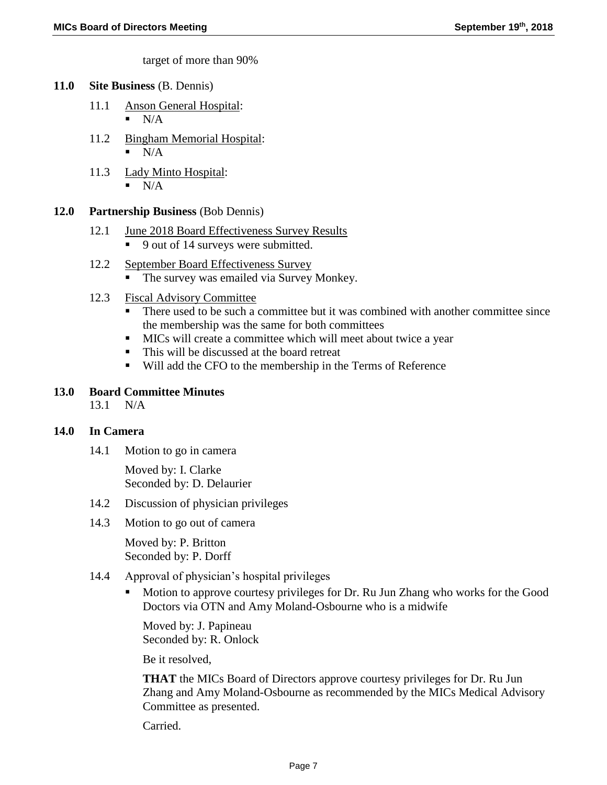target of more than 90%

#### **11.0 Site Business** (B. Dennis)

- 11.1 Anson General Hospital:  $\blacksquare$  N/A
- 11.2 Bingham Memorial Hospital:  $N/A$
- 11.3 Lady Minto Hospital:  $\blacksquare$  N/A
	-

### **12.0 Partnership Business** (Bob Dennis)

- 12.1 June 2018 Board Effectiveness Survey Results
	- 9 out of 14 surveys were submitted.
- 12.2 September Board Effectiveness Survey
	- The survey was emailed via Survey Monkey.
- 12.3 Fiscal Advisory Committee
	- There used to be such a committee but it was combined with another committee since the membership was the same for both committees
	- MICs will create a committee which will meet about twice a year
	- This will be discussed at the board retreat
	- Will add the CFO to the membership in the Terms of Reference

### **13.0 Board Committee Minutes**

13.1 N/A

### **14.0 In Camera**

14.1 Motion to go in camera

Moved by: I. Clarke Seconded by: D. Delaurier

- 14.2 Discussion of physician privileges
- 14.3 Motion to go out of camera

Moved by: P. Britton Seconded by: P. Dorff

- 14.4 Approval of physician's hospital privileges
	- Motion to approve courtesy privileges for Dr. Ru Jun Zhang who works for the Good Doctors via OTN and Amy Moland-Osbourne who is a midwife

Moved by: J. Papineau Seconded by: R. Onlock

Be it resolved,

**THAT** the MICs Board of Directors approve courtesy privileges for Dr. Ru Jun Zhang and Amy Moland-Osbourne as recommended by the MICs Medical Advisory Committee as presented.

Carried.